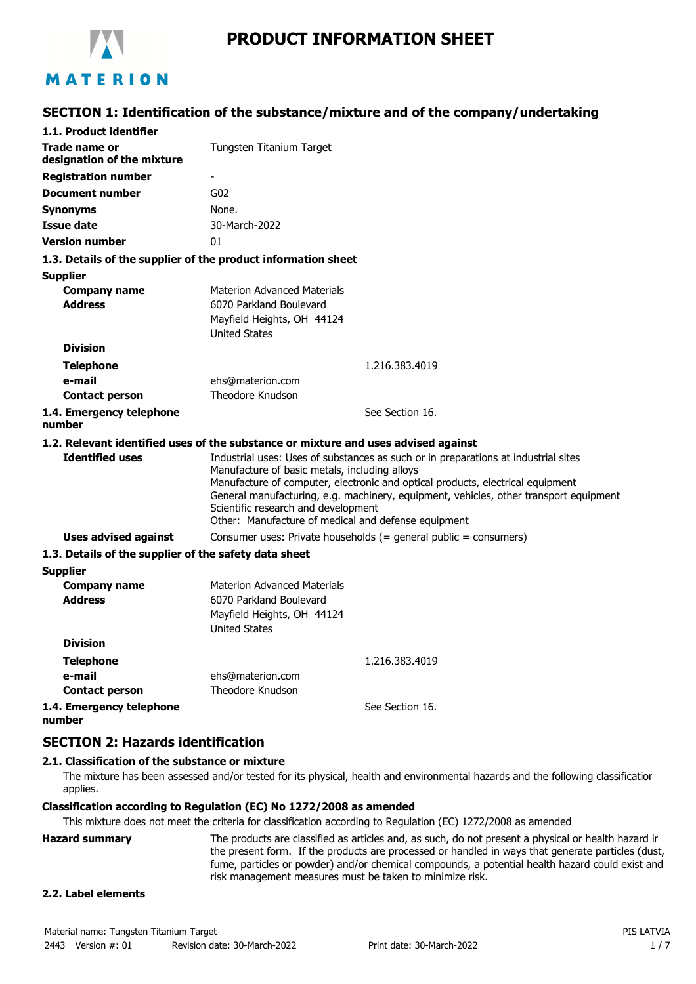

# **SECTION 1: Identification of the substance/mixture and of the company/undertaking**

| 1.1. Product identifier                                                            |                                                                                                                                             |                                                                                                                                                                                                                                                               |
|------------------------------------------------------------------------------------|---------------------------------------------------------------------------------------------------------------------------------------------|---------------------------------------------------------------------------------------------------------------------------------------------------------------------------------------------------------------------------------------------------------------|
| Trade name or<br>designation of the mixture                                        | Tungsten Titanium Target                                                                                                                    |                                                                                                                                                                                                                                                               |
| <b>Registration number</b>                                                         | ٠                                                                                                                                           |                                                                                                                                                                                                                                                               |
| <b>Document number</b>                                                             | G <sub>02</sub>                                                                                                                             |                                                                                                                                                                                                                                                               |
| <b>Synonyms</b>                                                                    | None.                                                                                                                                       |                                                                                                                                                                                                                                                               |
| <b>Issue date</b>                                                                  | 30-March-2022                                                                                                                               |                                                                                                                                                                                                                                                               |
| <b>Version number</b>                                                              | 01                                                                                                                                          |                                                                                                                                                                                                                                                               |
| 1.3. Details of the supplier of the product information sheet                      |                                                                                                                                             |                                                                                                                                                                                                                                                               |
| <b>Supplier</b>                                                                    |                                                                                                                                             |                                                                                                                                                                                                                                                               |
| <b>Company name</b><br><b>Address</b>                                              | <b>Materion Advanced Materials</b><br>6070 Parkland Boulevard<br>Mayfield Heights, OH 44124<br><b>United States</b>                         |                                                                                                                                                                                                                                                               |
| <b>Division</b>                                                                    |                                                                                                                                             |                                                                                                                                                                                                                                                               |
| <b>Telephone</b>                                                                   |                                                                                                                                             | 1.216.383.4019                                                                                                                                                                                                                                                |
| e-mail                                                                             | ehs@materion.com                                                                                                                            |                                                                                                                                                                                                                                                               |
| <b>Contact person</b>                                                              | Theodore Knudson                                                                                                                            |                                                                                                                                                                                                                                                               |
| 1.4. Emergency telephone<br>number                                                 |                                                                                                                                             | See Section 16.                                                                                                                                                                                                                                               |
| 1.2. Relevant identified uses of the substance or mixture and uses advised against |                                                                                                                                             |                                                                                                                                                                                                                                                               |
| <b>Identified uses</b>                                                             | Manufacture of basic metals, including alloys<br>Scientific research and development<br>Other: Manufacture of medical and defense equipment | Industrial uses: Uses of substances as such or in preparations at industrial sites<br>Manufacture of computer, electronic and optical products, electrical equipment<br>General manufacturing, e.g. machinery, equipment, vehicles, other transport equipment |
| Uses advised against                                                               |                                                                                                                                             | Consumer uses: Private households (= general public = consumers)                                                                                                                                                                                              |
| 1.3. Details of the supplier of the safety data sheet                              |                                                                                                                                             |                                                                                                                                                                                                                                                               |
| <b>Supplier</b>                                                                    |                                                                                                                                             |                                                                                                                                                                                                                                                               |
| <b>Company name</b><br><b>Address</b>                                              | <b>Materion Advanced Materials</b><br>6070 Parkland Boulevard<br>Mayfield Heights, OH 44124<br><b>United States</b>                         |                                                                                                                                                                                                                                                               |
| <b>Division</b>                                                                    |                                                                                                                                             |                                                                                                                                                                                                                                                               |
| <b>Telephone</b>                                                                   |                                                                                                                                             | 1.216.383.4019                                                                                                                                                                                                                                                |
| e-mail                                                                             | ehs@materion.com                                                                                                                            |                                                                                                                                                                                                                                                               |
| <b>Contact person</b>                                                              | Theodore Knudson                                                                                                                            |                                                                                                                                                                                                                                                               |
| 1.4. Emergency telephone<br>number                                                 |                                                                                                                                             | See Section 16.                                                                                                                                                                                                                                               |

### **SECTION 2: Hazards identification**

#### **2.1. Classification of the substance or mixture**

The mixture has been assessed and/or tested for its physical, health and environmental hazards and the following classification applies.

#### **Classification according to Regulation (EC) No 1272/2008 as amended**

This mixture does not meet the criteria for classification according to Regulation (EC) 1272/2008 as amended.

**Hazard summary** The products are classified as articles and, as such, do not present a physical or health hazard in the present form. If the products are processed or handled in ways that generate particles (dust, fume, particles or powder) and/or chemical compounds, a potential health hazard could exist and risk management measures must be taken to minimize risk.

#### **2.2. Label elements**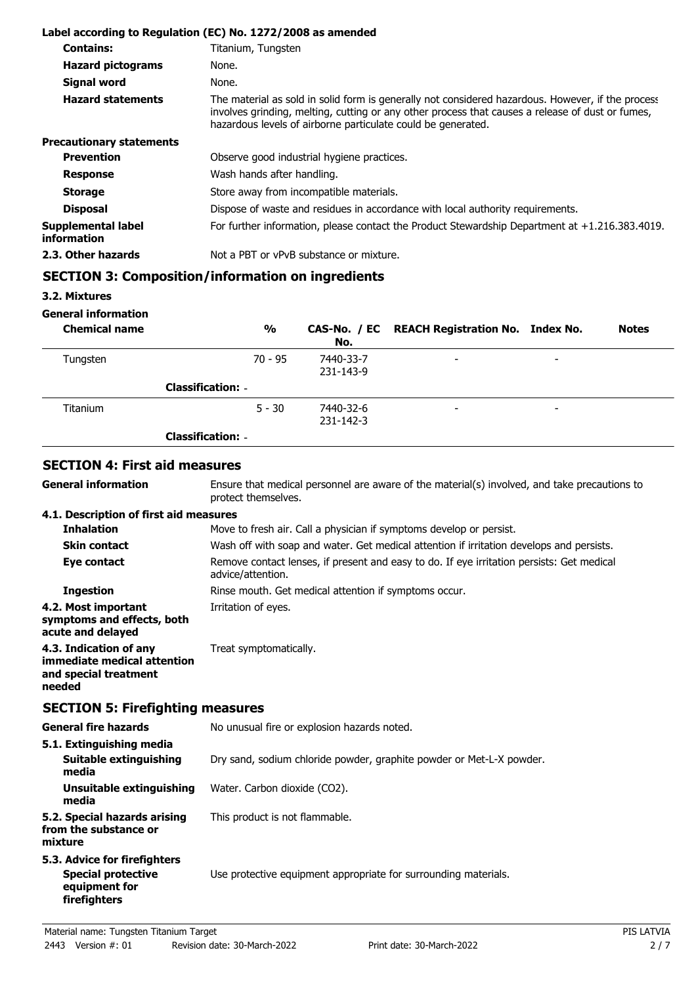|                                          | Label according to Regulation (EC) No. 1272/2008 as amended                                                                                                                                                                                                           |
|------------------------------------------|-----------------------------------------------------------------------------------------------------------------------------------------------------------------------------------------------------------------------------------------------------------------------|
| <b>Contains:</b>                         | Titanium, Tungsten                                                                                                                                                                                                                                                    |
| <b>Hazard pictograms</b>                 | None.                                                                                                                                                                                                                                                                 |
| <b>Signal word</b>                       | None.                                                                                                                                                                                                                                                                 |
| <b>Hazard statements</b>                 | The material as sold in solid form is generally not considered hazardous. However, if the process<br>involves grinding, melting, cutting or any other process that causes a release of dust or fumes,<br>hazardous levels of airborne particulate could be generated. |
| <b>Precautionary statements</b>          |                                                                                                                                                                                                                                                                       |
| <b>Prevention</b>                        | Observe good industrial hygiene practices.                                                                                                                                                                                                                            |
| <b>Response</b>                          | Wash hands after handling.                                                                                                                                                                                                                                            |
| <b>Storage</b>                           | Store away from incompatible materials.                                                                                                                                                                                                                               |
| <b>Disposal</b>                          | Dispose of waste and residues in accordance with local authority requirements.                                                                                                                                                                                        |
| Supplemental label<br><i>information</i> | For further information, please contact the Product Stewardship Department at $+1.216.383.4019$ .                                                                                                                                                                     |
| 2.3. Other hazards                       | Not a PBT or vPvB substance or mixture.                                                                                                                                                                                                                               |

# **SECTION 3: Composition/information on ingredients**

**3.2. Mixtures**

**General information**

**General information**

| <b>Chemical name</b> | $\frac{0}{0}$            | No.                    | CAS-No. / EC REACH Registration No. Index No. |                          | <b>Notes</b> |
|----------------------|--------------------------|------------------------|-----------------------------------------------|--------------------------|--------------|
| Tungsten             | $70 - 95$                | 7440-33-7<br>231-143-9 | $\overline{\phantom{0}}$                      | $\overline{\phantom{0}}$ |              |
|                      | <b>Classification: -</b> |                        |                                               |                          |              |
| <b>Titanium</b>      | $5 - 30$                 | 7440-32-6<br>231-142-3 | $\overline{\phantom{0}}$                      | -                        |              |
|                      | <b>Classification: -</b> |                        |                                               |                          |              |

### **SECTION 4: First aid measures**

Ensure that medical personnel are aware of the material(s) involved, and take precautions to protect themselves.

#### **4.1. Description of first aid measures**

| <b>Inhalation</b>                                                                        | Move to fresh air. Call a physician if symptoms develop or persist.                                            |
|------------------------------------------------------------------------------------------|----------------------------------------------------------------------------------------------------------------|
| <b>Skin contact</b>                                                                      | Wash off with soap and water. Get medical attention if irritation develops and persists.                       |
| Eye contact                                                                              | Remove contact lenses, if present and easy to do. If eye irritation persists: Get medical<br>advice/attention. |
| <b>Ingestion</b>                                                                         | Rinse mouth. Get medical attention if symptoms occur.                                                          |
| 4.2. Most important<br>symptoms and effects, both<br>acute and delayed                   | Irritation of eyes.                                                                                            |
| 4.3. Indication of any<br>immediate medical attention<br>and special treatment<br>needed | Treat symptomatically.                                                                                         |

## **SECTION 5: Firefighting measures**

| <b>General fire hazards</b>                                                                | No unusual fire or explosion hazards noted.                          |  |
|--------------------------------------------------------------------------------------------|----------------------------------------------------------------------|--|
| 5.1. Extinguishing media<br>Suitable extinguishing                                         | Dry sand, sodium chloride powder, graphite powder or Met-L-X powder. |  |
| media<br>Unsuitable extinguishing<br>media                                                 | Water. Carbon dioxide (CO2).                                         |  |
| 5.2. Special hazards arising<br>from the substance or<br>mixture                           | This product is not flammable.                                       |  |
| 5.3. Advice for firefighters<br><b>Special protective</b><br>equipment for<br>firefighters | Use protective equipment appropriate for surrounding materials.      |  |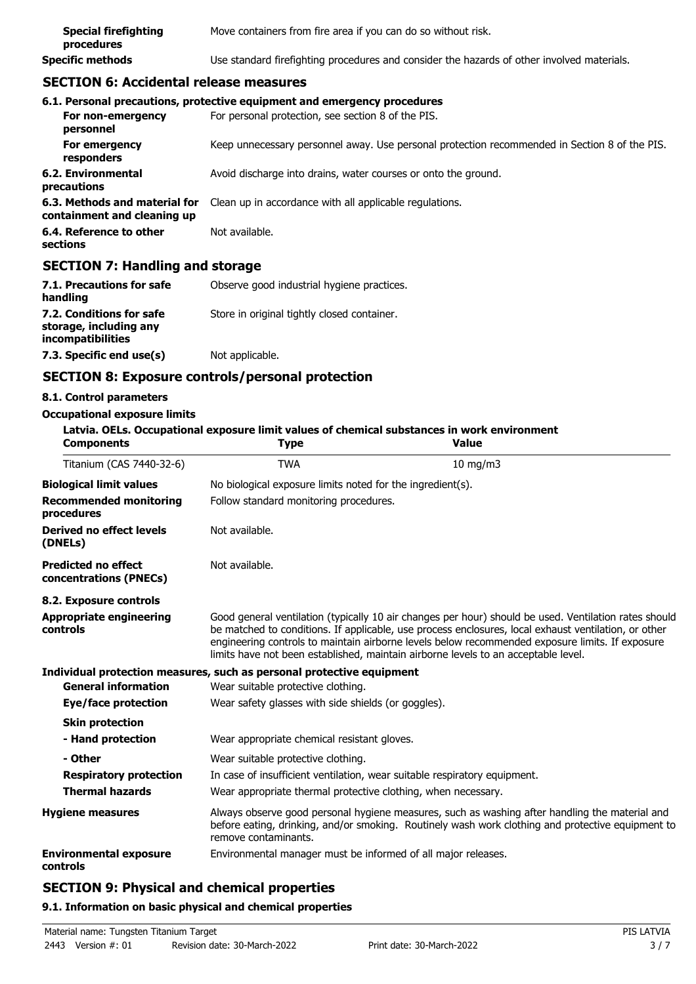| <b>Special firefighting</b><br>procedures | Move containers from fire area if you can do so without risk.                              |
|-------------------------------------------|--------------------------------------------------------------------------------------------|
| <b>Specific methods</b>                   | Use standard firefighting procedures and consider the hazards of other involved materials. |

## **SECTION 6: Accidental release measures**

|                                                              | 6.1. Personal precautions, protective equipment and emergency procedures                      |
|--------------------------------------------------------------|-----------------------------------------------------------------------------------------------|
| For non-emergency<br>personnel                               | For personal protection, see section 8 of the PIS.                                            |
| For emergency<br>responders                                  | Keep unnecessary personnel away. Use personal protection recommended in Section 8 of the PIS. |
| 6.2. Environmental<br>precautions                            | Avoid discharge into drains, water courses or onto the ground.                                |
| 6.3. Methods and material for<br>containment and cleaning up | Clean up in accordance with all applicable regulations.                                       |
| 6.4. Reference to other<br>sections                          | Not available.                                                                                |

## **SECTION 7: Handling and storage**

| 7.1. Precautions for safe<br>handling                                   | Observe good industrial hygiene practices.  |
|-------------------------------------------------------------------------|---------------------------------------------|
| 7.2. Conditions for safe<br>storage, including any<br>incompatibilities | Store in original tightly closed container. |
| 7.3. Specific end use(s)                                                | Not applicable.                             |

## **SECTION 8: Exposure controls/personal protection**

#### **8.1. Control parameters**

#### **Occupational exposure limits**

| <b>Components</b>                                    | <b>Type</b>                                                                                                                                                                                                                                                                                                                                                                                            | Latvia. OELs. Occupational exposure limit values of chemical substances in work environment<br><b>Value</b>                                                                                         |
|------------------------------------------------------|--------------------------------------------------------------------------------------------------------------------------------------------------------------------------------------------------------------------------------------------------------------------------------------------------------------------------------------------------------------------------------------------------------|-----------------------------------------------------------------------------------------------------------------------------------------------------------------------------------------------------|
| Titanium (CAS 7440-32-6)                             | <b>TWA</b>                                                                                                                                                                                                                                                                                                                                                                                             | $10 \text{ mg/m}$                                                                                                                                                                                   |
| <b>Biological limit values</b>                       | No biological exposure limits noted for the ingredient(s).                                                                                                                                                                                                                                                                                                                                             |                                                                                                                                                                                                     |
| <b>Recommended monitoring</b><br>procedures          | Follow standard monitoring procedures.                                                                                                                                                                                                                                                                                                                                                                 |                                                                                                                                                                                                     |
| Derived no effect levels<br>(DNELs)                  | Not available.                                                                                                                                                                                                                                                                                                                                                                                         |                                                                                                                                                                                                     |
| <b>Predicted no effect</b><br>concentrations (PNECs) | Not available.                                                                                                                                                                                                                                                                                                                                                                                         |                                                                                                                                                                                                     |
| 8.2. Exposure controls                               |                                                                                                                                                                                                                                                                                                                                                                                                        |                                                                                                                                                                                                     |
| <b>Appropriate engineering</b><br>controls           | Good general ventilation (typically 10 air changes per hour) should be used. Ventilation rates should<br>be matched to conditions. If applicable, use process enclosures, local exhaust ventilation, or other<br>engineering controls to maintain airborne levels below recommended exposure limits. If exposure<br>limits have not been established, maintain airborne levels to an acceptable level. |                                                                                                                                                                                                     |
|                                                      | Individual protection measures, such as personal protective equipment                                                                                                                                                                                                                                                                                                                                  |                                                                                                                                                                                                     |
| <b>General information</b>                           | Wear suitable protective clothing.                                                                                                                                                                                                                                                                                                                                                                     |                                                                                                                                                                                                     |
| Eye/face protection                                  | Wear safety glasses with side shields (or goggles).                                                                                                                                                                                                                                                                                                                                                    |                                                                                                                                                                                                     |
| <b>Skin protection</b>                               |                                                                                                                                                                                                                                                                                                                                                                                                        |                                                                                                                                                                                                     |
| - Hand protection                                    | Wear appropriate chemical resistant gloves.                                                                                                                                                                                                                                                                                                                                                            |                                                                                                                                                                                                     |
| - Other                                              | Wear suitable protective clothing.                                                                                                                                                                                                                                                                                                                                                                     |                                                                                                                                                                                                     |
| <b>Respiratory protection</b>                        |                                                                                                                                                                                                                                                                                                                                                                                                        | In case of insufficient ventilation, wear suitable respiratory equipment.                                                                                                                           |
| <b>Thermal hazards</b>                               | Wear appropriate thermal protective clothing, when necessary.                                                                                                                                                                                                                                                                                                                                          |                                                                                                                                                                                                     |
| <b>Hygiene measures</b>                              | remove contaminants.                                                                                                                                                                                                                                                                                                                                                                                   | Always observe good personal hygiene measures, such as washing after handling the material and<br>before eating, drinking, and/or smoking. Routinely wash work clothing and protective equipment to |
| <b>Environmental exposure</b><br>controls            | Environmental manager must be informed of all major releases.                                                                                                                                                                                                                                                                                                                                          |                                                                                                                                                                                                     |

# **SECTION 9: Physical and chemical properties**

#### **9.1. Information on basic physical and chemical properties**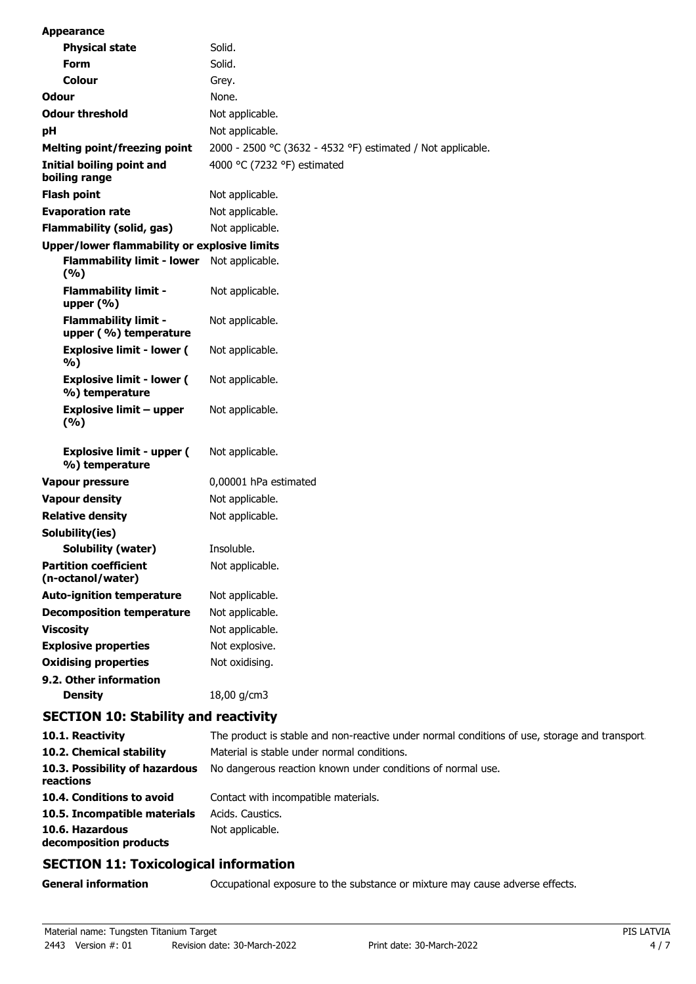| <b>Appearance</b>                                                        |                                                             |
|--------------------------------------------------------------------------|-------------------------------------------------------------|
| <b>Physical state</b>                                                    | Solid.                                                      |
| <b>Form</b>                                                              | Solid.                                                      |
| Colour                                                                   | Grey.                                                       |
| Odour                                                                    | None.                                                       |
| <b>Odour threshold</b>                                                   | Not applicable.                                             |
| рH                                                                       | Not applicable.                                             |
| <b>Melting point/freezing point</b>                                      | 2000 - 2500 °C (3632 - 4532 °F) estimated / Not applicable. |
| Initial boiling point and<br>boiling range                               | 4000 °C (7232 °F) estimated                                 |
| <b>Flash point</b>                                                       | Not applicable.                                             |
| <b>Evaporation rate</b>                                                  | Not applicable.                                             |
| <b>Flammability (solid, gas)</b>                                         | Not applicable.                                             |
| Upper/lower flammability or explosive limits                             |                                                             |
| <b>Flammability limit - lower</b><br>(%)                                 | Not applicable.                                             |
| <b>Flammability limit -</b><br>upper (%)                                 | Not applicable.                                             |
| <b>Flammability limit -</b><br>upper (%) temperature                     | Not applicable.                                             |
| <b>Explosive limit - lower (</b><br>%)                                   | Not applicable.                                             |
| <b>Explosive limit - lower (</b><br>%) temperature                       | Not applicable.                                             |
| <b>Explosive limit - upper</b><br>(%)                                    | Not applicable.                                             |
| <b>Explosive limit - upper (</b><br>%) temperature                       | Not applicable.                                             |
| <b>Vapour pressure</b>                                                   | 0,00001 hPa estimated                                       |
| <b>Vapour density</b>                                                    | Not applicable.                                             |
| <b>Relative density</b>                                                  | Not applicable.                                             |
| Solubility(ies)                                                          |                                                             |
| Solubility (water)                                                       | Insoluble.                                                  |
| <b>Partition coefficient</b><br>(n-octanol/water)                        | Not applicable.                                             |
| <b>Auto-ignition temperature</b>                                         | Not applicable.                                             |
| <b>Decomposition temperature</b>                                         | Not applicable.                                             |
| <b>Viscosity</b>                                                         | Not applicable.                                             |
| <b>Explosive properties</b>                                              | Not explosive.                                              |
| <b>Oxidising properties</b>                                              | Not oxidising.                                              |
| 9.2. Other information<br><b>Density</b>                                 | 18,00 g/cm3                                                 |
| $\mathbf{A}$ and $\mathbf{A}$ and $\mathbf{A}$ . The set of $\mathbf{A}$ |                                                             |

### **SECTION 10: Stability and reactivity**

| 10.1. Reactivity                            | The product is stable and non-reactive under normal conditions of use, storage and transport. |
|---------------------------------------------|-----------------------------------------------------------------------------------------------|
| 10.2. Chemical stability                    | Material is stable under normal conditions.                                                   |
| 10.3. Possibility of hazardous<br>reactions | No dangerous reaction known under conditions of normal use.                                   |
| 10.4. Conditions to avoid                   | Contact with incompatible materials.                                                          |
| 10.5. Incompatible materials                | Acids, Caustics,                                                                              |
| 10.6. Hazardous<br>decomposition products   | Not applicable.                                                                               |

# **SECTION 11: Toxicological information**

| <b>General information</b> | Occupational exposure to the substance or mixture may cause adverse effects. |  |
|----------------------------|------------------------------------------------------------------------------|--|
|----------------------------|------------------------------------------------------------------------------|--|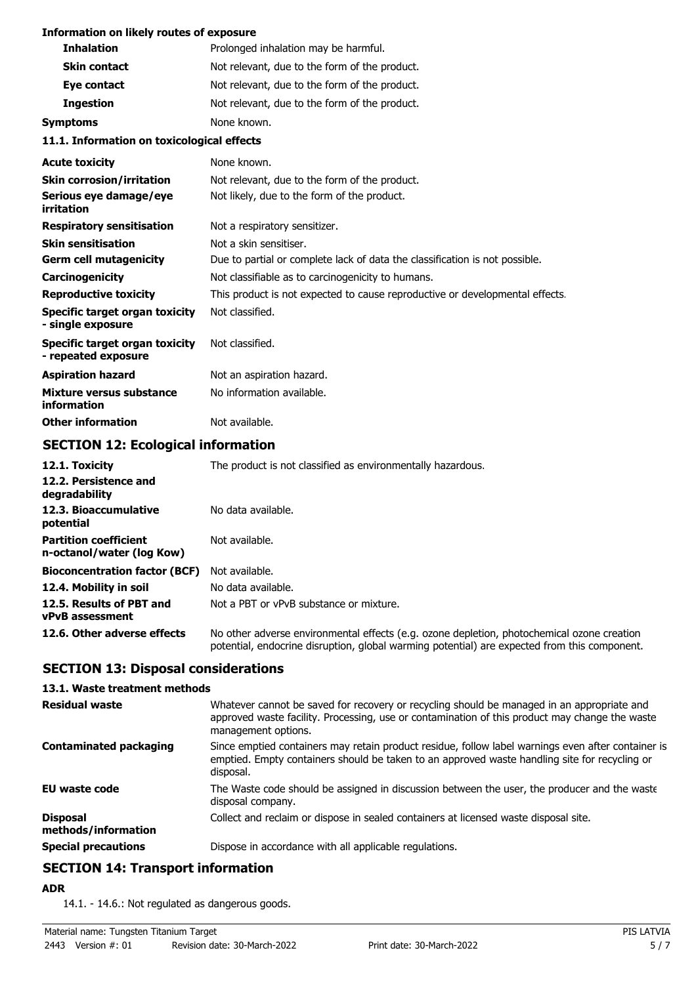#### **Information on likely routes of exposure**

| <b>Inhalation</b>                                     | Prolonged inhalation may be harmful.                                         |  |
|-------------------------------------------------------|------------------------------------------------------------------------------|--|
| <b>Skin contact</b>                                   | Not relevant, due to the form of the product.                                |  |
| Eye contact                                           | Not relevant, due to the form of the product.                                |  |
| <b>Ingestion</b>                                      | Not relevant, due to the form of the product.                                |  |
| <b>Symptoms</b>                                       | None known.                                                                  |  |
| 11.1. Information on toxicological effects            |                                                                              |  |
| <b>Acute toxicity</b>                                 | None known.                                                                  |  |
| <b>Skin corrosion/irritation</b>                      | Not relevant, due to the form of the product.                                |  |
| Serious eye damage/eye<br>irritation                  | Not likely, due to the form of the product.                                  |  |
| <b>Respiratory sensitisation</b>                      | Not a respiratory sensitizer.                                                |  |
| <b>Skin sensitisation</b>                             | Not a skin sensitiser.                                                       |  |
| <b>Germ cell mutagenicity</b>                         | Due to partial or complete lack of data the classification is not possible.  |  |
| Carcinogenicity                                       | Not classifiable as to carcinogenicity to humans.                            |  |
| <b>Reproductive toxicity</b>                          | This product is not expected to cause reproductive or developmental effects. |  |
| Specific target organ toxicity<br>- single exposure   | Not classified.                                                              |  |
| Specific target organ toxicity<br>- repeated exposure | Not classified.                                                              |  |
| <b>Aspiration hazard</b>                              | Not an aspiration hazard.                                                    |  |
| <b>Mixture versus substance</b><br>information        | No information available.                                                    |  |
| <b>Other information</b>                              | Not available.                                                               |  |

# **SECTION 12: Ecological information**

| 12.1. Toxicity                                            | The product is not classified as environmentally hazardous.                                                                                                                                |
|-----------------------------------------------------------|--------------------------------------------------------------------------------------------------------------------------------------------------------------------------------------------|
| 12.2. Persistence and<br>degradability                    |                                                                                                                                                                                            |
| 12.3. Bioaccumulative<br>potential                        | No data available.                                                                                                                                                                         |
| <b>Partition coefficient</b><br>n-octanol/water (log Kow) | Not available.                                                                                                                                                                             |
| <b>Bioconcentration factor (BCF)</b>                      | Not available.                                                                                                                                                                             |
| 12.4. Mobility in soil                                    | No data available.                                                                                                                                                                         |
| 12.5. Results of PBT and<br><b>vPvB</b> assessment        | Not a PBT or vPvB substance or mixture.                                                                                                                                                    |
| 12.6. Other adverse effects                               | No other adverse environmental effects (e.g. ozone depletion, photochemical ozone creation<br>potential, endocrine disruption, global warming potential) are expected from this component. |

## **SECTION 13: Disposal considerations**

#### **13.1. Waste treatment methods**

| <b>Residual waste</b>                  | Whatever cannot be saved for recovery or recycling should be managed in an appropriate and<br>approved waste facility. Processing, use or contamination of this product may change the waste<br>management options. |
|----------------------------------------|---------------------------------------------------------------------------------------------------------------------------------------------------------------------------------------------------------------------|
| <b>Contaminated packaging</b>          | Since emptied containers may retain product residue, follow label warnings even after container is<br>emptied. Empty containers should be taken to an approved waste handling site for recycling or<br>disposal.    |
| EU waste code                          | The Waste code should be assigned in discussion between the user, the producer and the waste<br>disposal company.                                                                                                   |
| <b>Disposal</b><br>methods/information | Collect and reclaim or dispose in sealed containers at licensed waste disposal site.                                                                                                                                |
| <b>Special precautions</b>             | Dispose in accordance with all applicable regulations.                                                                                                                                                              |

# **SECTION 14: Transport information**

**ADR**

14.1. - 14.6.: Not regulated as dangerous goods.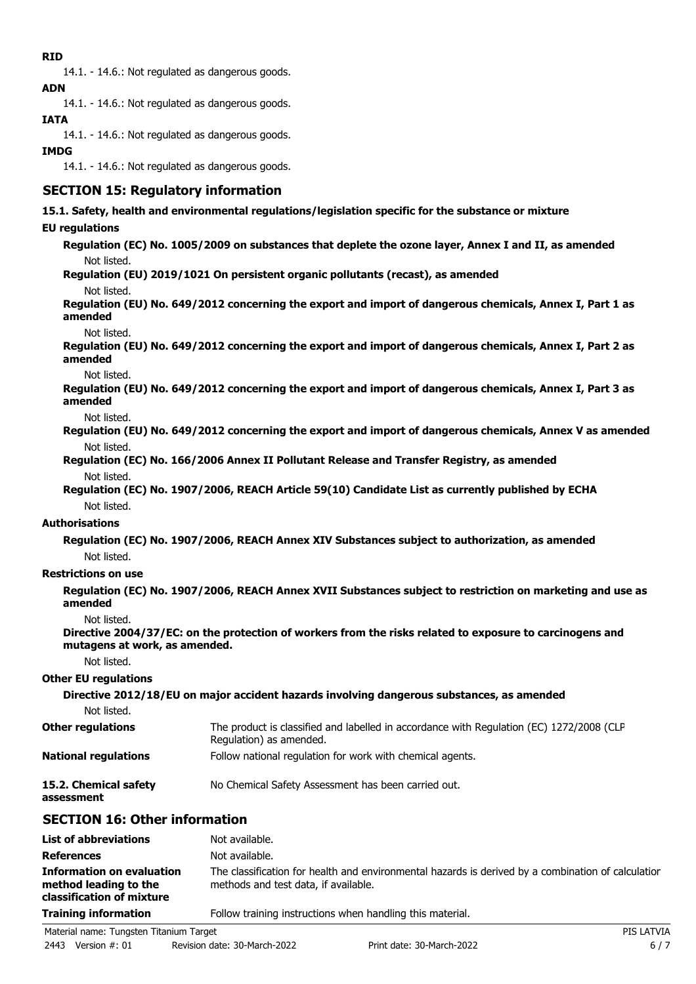### **RID**

14.1. - 14.6.: Not regulated as dangerous goods. **ADN**

14.1. - 14.6.: Not regulated as dangerous goods.

# **IATA**

14.1. - 14.6.: Not regulated as dangerous goods.

## **IMDG**

14.1. - 14.6.: Not regulated as dangerous goods.

# **SECTION 15: Regulatory information**

### **15.1. Safety, health and environmental regulations/legislation specific for the substance or mixture**

### **EU regulations**

**Regulation (EC) No. 1005/2009 on substances that deplete the ozone layer, Annex I and II, as amended** Not listed.

**Regulation (EU) 2019/1021 On persistent organic pollutants (recast), as amended** Not listed.

**Regulation (EU) No. 649/2012 concerning the export and import of dangerous chemicals, Annex I, Part 1 as amended**

Not listed.

**Regulation (EU) No. 649/2012 concerning the export and import of dangerous chemicals, Annex I, Part 2 as amended**

Not listed.

**Regulation (EU) No. 649/2012 concerning the export and import of dangerous chemicals, Annex I, Part 3 as amended**

Not listed.

**Regulation (EU) No. 649/2012 concerning the export and import of dangerous chemicals, Annex V as amended** Not listed.

**Regulation (EC) No. 166/2006 Annex II Pollutant Release and Transfer Registry, as amended** Not listed.

**Regulation (EC) No. 1907/2006, REACH Article 59(10) Candidate List as currently published by ECHA** Not listed.

#### **Authorisations**

**Regulation (EC) No. 1907/2006, REACH Annex XIV Substances subject to authorization, as amended** Not listed.

### **Restrictions on use**

**Regulation (EC) No. 1907/2006, REACH Annex XVII Substances subject to restriction on marketing and use as amended**

Not listed.

**Directive 2004/37/EC: on the protection of workers from the risks related to exposure to carcinogens and mutagens at work, as amended.**

Not listed.

#### **Other EU regulations**

#### **Directive 2012/18/EU on major accident hazards involving dangerous substances, as amended** Not listed. The product is classified and labelled in accordance with Regulation (EC) 1272/2008 (CLP Regulation) as amended. **Other regulations**

**National regulations** Follow national regulation for work with chemical agents.

**15.2. Chemical safety** No Chemical Safety Assessment has been carried out.

**assessment**

# **SECTION 16: Other information**

| <b>List of abbreviations</b>                                                    | Not available.                                                                                                                             |
|---------------------------------------------------------------------------------|--------------------------------------------------------------------------------------------------------------------------------------------|
| <b>References</b>                                                               | Not available.                                                                                                                             |
| Information on evaluation<br>method leading to the<br>classification of mixture | The classification for health and environmental hazards is derived by a combination of calculatior<br>methods and test data, if available. |
| <b>Training information</b>                                                     | Follow training instructions when handling this material.                                                                                  |